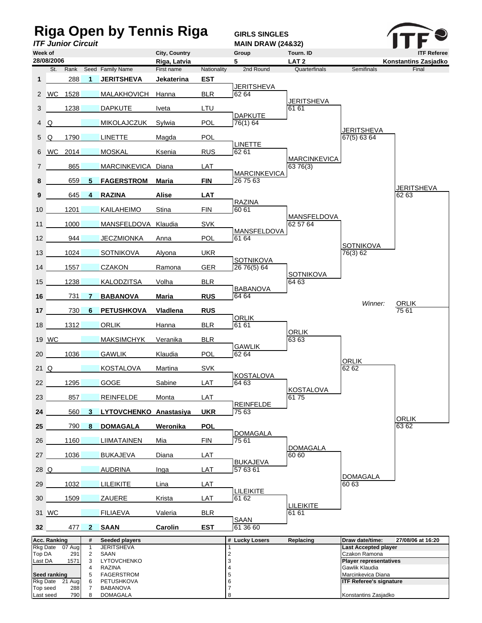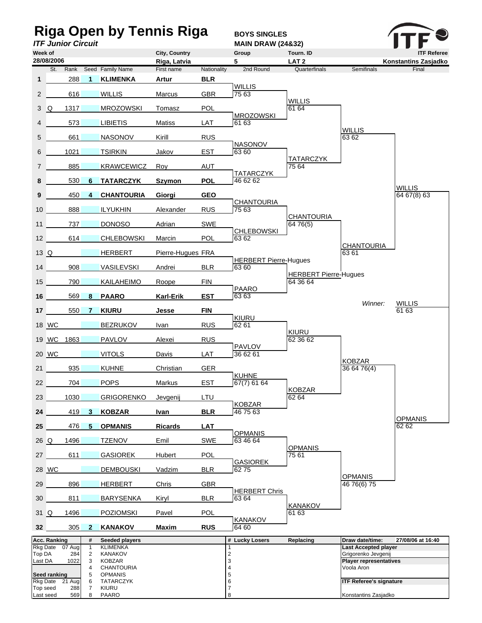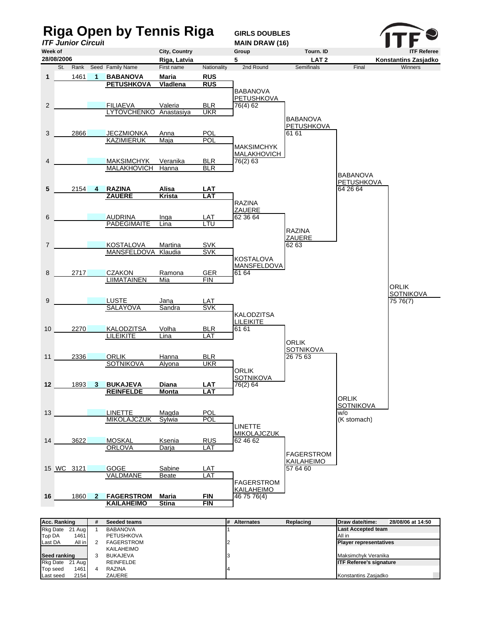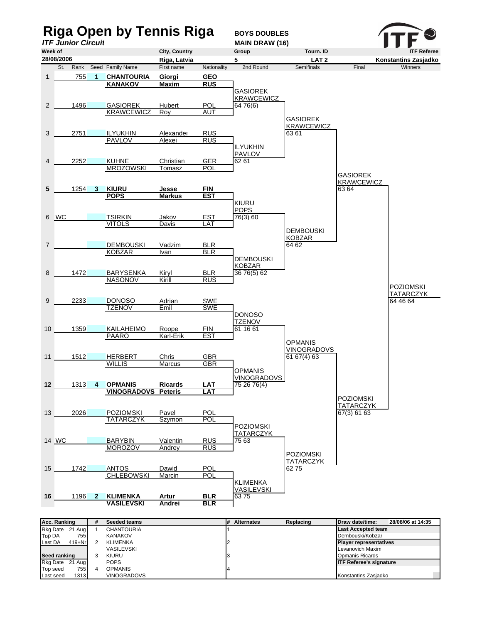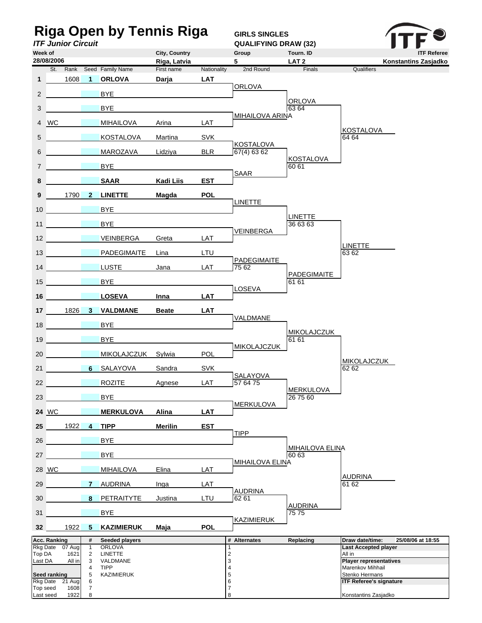| <b>Riga Open by Tennis Riga</b>      |                                |                                |                                 |                               |             | <b>GIRLS SINGLES</b>            |                                 |                                                   |
|--------------------------------------|--------------------------------|--------------------------------|---------------------------------|-------------------------------|-------------|---------------------------------|---------------------------------|---------------------------------------------------|
| <b>ITF Junior Circuit</b><br>Week of |                                |                                |                                 |                               |             | <b>QUALIFYING DRAW (32)</b>     |                                 |                                                   |
|                                      | 28/08/2006                     |                                |                                 | City, Country<br>Riga, Latvia |             | Group<br>5                      | Tourn. ID<br>LAT <sub>2</sub>   | <b>ITF Referee</b><br>Konstantins Zasjadko        |
|                                      | St.<br>Rank                    |                                | Seed Family Name                | First name                    | Nationality | 2nd Round                       | Finals                          | Qualifiers                                        |
| $\mathbf{1}$                         | 1608                           | $\overline{1}$                 | <b>ORLOVA</b>                   | Darja                         | <b>LAT</b>  | <b>ORLOVA</b>                   |                                 |                                                   |
| 2                                    |                                |                                | <b>BYE</b>                      |                               |             |                                 | <b>ORLOVA</b>                   |                                                   |
| 3                                    |                                |                                | <b>BYE</b>                      |                               |             |                                 | 63 64                           |                                                   |
| $\overline{4}$                       | <b>WC</b>                      |                                | <b>MIHAILOVA</b>                | Arina                         | LAT         | <b>MIHAILOVA ARINA</b>          |                                 |                                                   |
| 5                                    |                                |                                | <b>KOSTALOVA</b>                | Martina                       | <b>SVK</b>  |                                 |                                 | <b>KOSTALOVA</b><br>64 64                         |
| 6                                    |                                |                                | MAROZAVA                        | Lidziya                       | <b>BLR</b>  | <b>KOSTALOVA</b><br>67(4) 63 62 |                                 |                                                   |
| $\overline{7}$                       |                                |                                | <b>BYE</b>                      |                               |             |                                 | <b>KOSTALOVA</b><br>60 61       |                                                   |
| 8                                    |                                |                                | <b>SAAR</b>                     | <b>Kadi Liis</b>              | <b>EST</b>  | <b>SAAR</b>                     |                                 |                                                   |
| 9                                    | 1790                           | $\mathbf{2}$                   | <b>LINETTE</b>                  | <b>Magda</b>                  | <b>POL</b>  |                                 |                                 |                                                   |
| 10                                   |                                |                                | <b>BYE</b>                      |                               |             | <b>LINETTE</b>                  |                                 |                                                   |
| 11                                   |                                |                                | <b>BYE</b>                      |                               |             |                                 | <b>LINETTE</b><br>36 63 63      |                                                   |
| 12 <sup>1</sup>                      |                                |                                | <b>VEINBERGA</b>                | Greta                         | LAT         | VEINBERGA                       |                                 |                                                   |
|                                      | 13                             |                                | PADEGIMAITE                     | Lina                          | LTU         |                                 |                                 | LINETTE<br>63 62                                  |
|                                      | 14                             |                                | <b>LUSTE</b>                    | Jana                          | LAT         | PADEGIMAITE<br>75 62            |                                 |                                                   |
| 15                                   |                                |                                | <b>BYE</b>                      |                               |             |                                 | PADEGIMAITE<br>61 61            |                                                   |
| 16                                   |                                |                                | <b>LOSEVA</b>                   | Inna                          | <b>LAT</b>  | LOSEVA                          |                                 |                                                   |
| 17 <sup>1</sup>                      | 1826 3                         |                                | <b>VALDMANE</b>                 | <b>Beate</b>                  | <b>LAT</b>  |                                 |                                 |                                                   |
| 18                                   |                                |                                | <b>BYE</b>                      |                               |             | VALDMANE                        |                                 |                                                   |
| 19                                   |                                |                                | <b>BYE</b>                      |                               |             |                                 | <b>MIKOLAJCZUK</b><br>61 61     |                                                   |
| 20                                   |                                |                                | <b>MIKOLAJCZUK</b>              | Sylwia                        | <b>POL</b>  | <b>MIKOLAJCZUK</b>              |                                 |                                                   |
| 21                                   |                                |                                | 6 SALAYOVA                      | Sandra                        | <b>SVK</b>  |                                 |                                 | MIKOLAJCZUK<br>62 62                              |
| 22                                   | <b>Contract Contract State</b> |                                | <b>ROZITE</b>                   | Agnese                        | LAT         | SAI AYOVA<br>57 64 75           |                                 |                                                   |
| 23                                   |                                |                                | <b>BYE</b>                      |                               |             |                                 | <b>MERKULOVA</b><br>26 75 60    |                                                   |
|                                      | 24 WC                          |                                | <b>MERKULOVA</b>                | Alina                         | <b>LAT</b>  | <b>MERKULOVA</b>                |                                 |                                                   |
| 25                                   | 1922                           | 4                              | <b>TIPP</b>                     | <b>Merilin</b>                | <b>EST</b>  |                                 |                                 |                                                   |
| 26                                   |                                |                                | <b>BYE</b>                      |                               |             | <b>TIPP</b>                     |                                 |                                                   |
| 27                                   |                                |                                | <b>BYE</b>                      |                               |             |                                 | <b>MIHAILOVA ELINA</b><br>60 63 |                                                   |
|                                      | 28 WC                          |                                | <b>MIHAILOVA</b>                | Elina                         | LAT         | <b>MIHAILOVA ELINA</b>          |                                 |                                                   |
| 29                                   |                                | $7^{\circ}$                    | AUDRINA                         | Inga                          | LAT         |                                 |                                 | AUDRINA<br>61 62                                  |
|                                      | 30                             |                                | 8 PETRAITYTE                    | Justina                       | LTU         | <b>AUDRINA</b><br>62 61         |                                 |                                                   |
| 31                                   |                                |                                | <b>BYE</b>                      |                               |             |                                 | <b>AUDRINA</b><br>75 75         |                                                   |
| 32                                   | 1922                           | 5 <sup>5</sup>                 | <b>KAZIMIERUK</b>               | Maja                          | <b>POL</b>  | KAZIMIERUK                      |                                 |                                                   |
|                                      | <b>Acc. Ranking</b>            | #                              | Seeded players                  |                               |             | # Alternates                    | Replacing                       | Draw date/time:<br>25/08/06 at 18:55              |
| Top DA                               | Rkg Date 07 Aug<br>1621        | $\mathbf{1}$<br>$\overline{2}$ | <b>ORLOVA</b><br><b>LINETTE</b> |                               |             | $\mathbf{1}$<br>$\overline{c}$  |                                 | <b>Last Accepted player</b><br>All in             |
| Last DA                              | All in                         | 3<br>4                         | VALDMANE<br><b>TIPP</b>         |                               |             | 3<br>$\overline{\mathbf{4}}$    |                                 | <b>Player representatives</b><br>Marenkov Mihhail |
|                                      | <b>Seed ranking</b>            | 5                              | <b>KAZIMIERUK</b>               |                               |             | 5                               |                                 | Stenko Hermans                                    |
| <b>Rkg Date</b><br>Top seed          | 21 Aug<br>1608                 | 6<br>$\overline{7}$            |                                 |                               |             | 6<br>$\overline{7}$             |                                 | <b>ITF Referee's signature</b>                    |
| Last seed                            | 1922                           | 8                              |                                 |                               |             | 8                               |                                 | Konstantins Zasjadko                              |